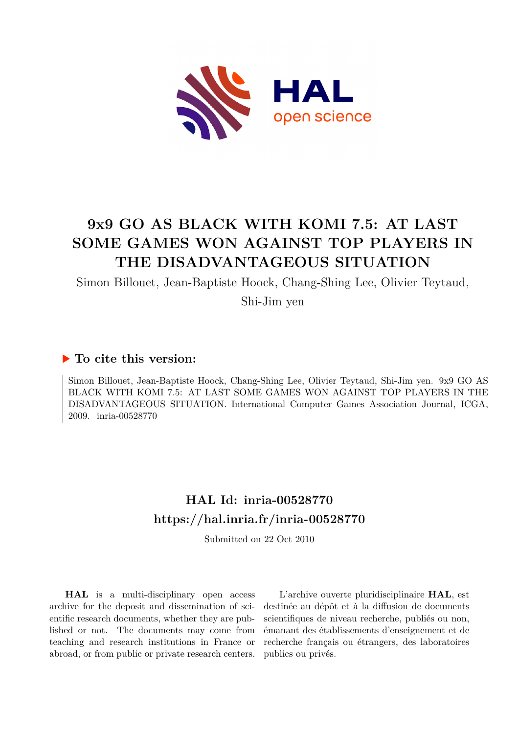

# **9x9 GO AS BLACK WITH KOMI 7.5: AT LAST SOME GAMES WON AGAINST TOP PLAYERS IN THE DISADVANTAGEOUS SITUATION**

Simon Billouet, Jean-Baptiste Hoock, Chang-Shing Lee, Olivier Teytaud,

Shi-Jim yen

# **To cite this version:**

Simon Billouet, Jean-Baptiste Hoock, Chang-Shing Lee, Olivier Teytaud, Shi-Jim yen. 9x9 GO AS BLACK WITH KOMI 7.5: AT LAST SOME GAMES WON AGAINST TOP PLAYERS IN THE DISADVANTAGEOUS SITUATION. International Computer Games Association Journal, ICGA, 2009. inria-00528770

# **HAL Id: inria-00528770 <https://hal.inria.fr/inria-00528770>**

Submitted on 22 Oct 2010

**HAL** is a multi-disciplinary open access archive for the deposit and dissemination of scientific research documents, whether they are published or not. The documents may come from teaching and research institutions in France or abroad, or from public or private research centers.

L'archive ouverte pluridisciplinaire **HAL**, est destinée au dépôt et à la diffusion de documents scientifiques de niveau recherche, publiés ou non, émanant des établissements d'enseignement et de recherche français ou étrangers, des laboratoires publics ou privés.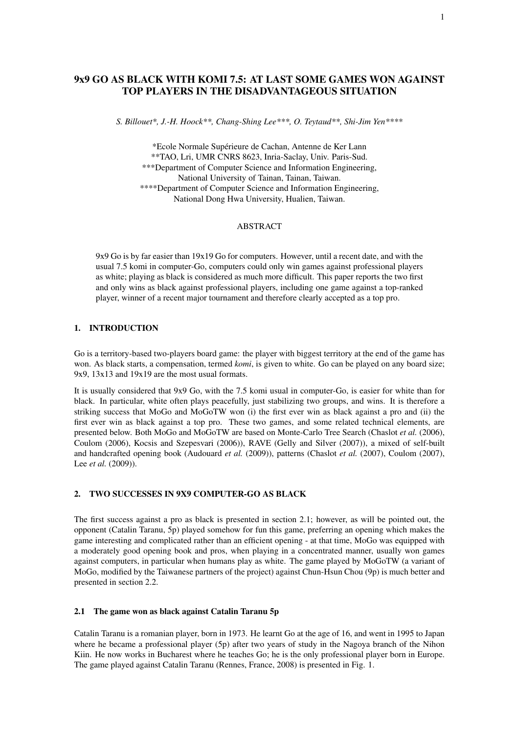# 9x9 GO AS BLACK WITH KOMI 7.5: AT LAST SOME GAMES WON AGAINST TOP PLAYERS IN THE DISADVANTAGEOUS SITUATION

*S. Billouet\*, J.-H. Hoock\*\*, Chang-Shing Lee\*\*\*, O. Teytaud\*\*, Shi-Jim Yen\*\*\*\**

\*Ecole Normale Supérieure de Cachan, Antenne de Ker Lann \*\*TAO, Lri, UMR CNRS 8623, Inria-Saclay, Univ. Paris-Sud. \*\*\*Department of Computer Science and Information Engineering, National University of Tainan, Tainan, Taiwan. \*\*\*\*Department of Computer Science and Information Engineering, National Dong Hwa University, Hualien, Taiwan.

### ABSTRACT

9x9 Go is by far easier than 19x19 Go for computers. However, until a recent date, and with the usual 7.5 komi in computer-Go, computers could only win games against professional players as white; playing as black is considered as much more difficult. This paper reports the two first and only wins as black against professional players, including one game against a top-ranked player, winner of a recent major tournament and therefore clearly accepted as a top pro.

### 1. INTRODUCTION

Go is a territory-based two-players board game: the player with biggest territory at the end of the game has won. As black starts, a compensation, termed *komi*, is given to white. Go can be played on any board size; 9x9, 13x13 and 19x19 are the most usual formats.

It is usually considered that 9x9 Go, with the 7.5 komi usual in computer-Go, is easier for white than for black. In particular, white often plays peacefully, just stabilizing two groups, and wins. It is therefore a striking success that MoGo and MoGoTW won (i) the first ever win as black against a pro and (ii) the first ever win as black against a top pro. These two games, and some related technical elements, are presented below. Both MoGo and MoGoTW are based on Monte-Carlo Tree Search (Chaslot *et al.* (2006), Coulom (2006), Kocsis and Szepesvari (2006)), RAVE (Gelly and Silver (2007)), a mixed of self-built and handcrafted opening book (Audouard *et al.* (2009)), patterns (Chaslot *et al.* (2007), Coulom (2007), Lee *et al.* (2009)).

## 2. TWO SUCCESSES IN 9X9 COMPUTER-GO AS BLACK

The first success against a pro as black is presented in section 2.1; however, as will be pointed out, the opponent (Catalin Taranu, 5p) played somehow for fun this game, preferring an opening which makes the game interesting and complicated rather than an efficient opening - at that time, MoGo was equipped with a moderately good opening book and pros, when playing in a concentrated manner, usually won games against computers, in particular when humans play as white. The game played by MoGoTW (a variant of MoGo, modified by the Taiwanese partners of the project) against Chun-Hsun Chou (9p) is much better and presented in section 2.2.

#### 2.1 The game won as black against Catalin Taranu 5p

Catalin Taranu is a romanian player, born in 1973. He learnt Go at the age of 16, and went in 1995 to Japan where he became a professional player (5p) after two years of study in the Nagoya branch of the Nihon Kiin. He now works in Bucharest where he teaches Go; he is the only professional player born in Europe. The game played against Catalin Taranu (Rennes, France, 2008) is presented in Fig. 1.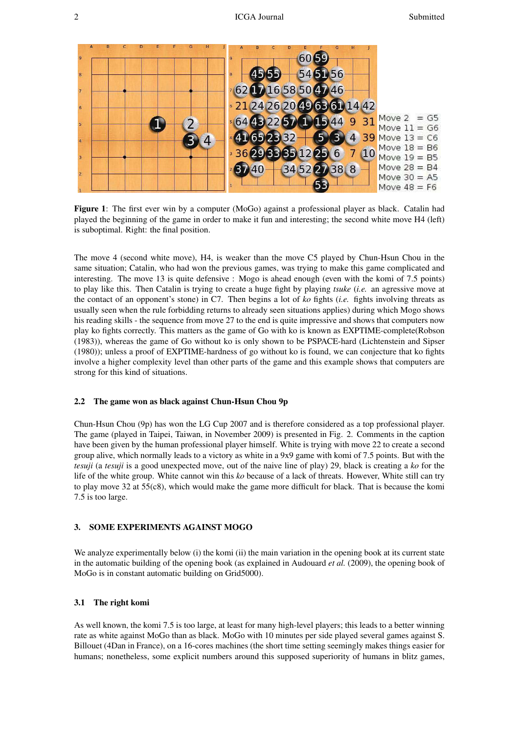

Figure 1: The first ever win by a computer (MoGo) against a professional player as black. Catalin had played the beginning of the game in order to make it fun and interesting; the second white move H4 (left) is suboptimal. Right: the final position.

The move 4 (second white move), H4, is weaker than the move C5 played by Chun-Hsun Chou in the same situation; Catalin, who had won the previous games, was trying to make this game complicated and interesting. The move 13 is quite defensive : Mogo is ahead enough (even with the komi of 7.5 points) to play like this. Then Catalin is trying to create a huge fight by playing *tsuke* (*i.e.* an agressive move at the contact of an opponent's stone) in C7. Then begins a lot of *ko* fights (*i.e.* fights involving threats as usually seen when the rule forbidding returns to already seen situations applies) during which Mogo shows his reading skills - the sequence from move 27 to the end is quite impressive and shows that computers now play ko fights correctly. This matters as the game of Go with ko is known as EXPTIME-complete(Robson (1983)), whereas the game of Go without ko is only shown to be PSPACE-hard (Lichtenstein and Sipser (1980)); unless a proof of EXPTIME-hardness of go without ko is found, we can conjecture that ko fights involve a higher complexity level than other parts of the game and this example shows that computers are strong for this kind of situations.

#### 2.2 The game won as black against Chun-Hsun Chou 9p

Chun-Hsun Chou (9p) has won the LG Cup 2007 and is therefore considered as a top professional player. The game (played in Taipei, Taiwan, in November 2009) is presented in Fig. 2. Comments in the caption have been given by the human professional player himself. White is trying with move 22 to create a second group alive, which normally leads to a victory as white in a 9x9 game with komi of 7.5 points. But with the *tesuji* (a *tesuji* is a good unexpected move, out of the naive line of play) 29, black is creating a *ko* for the life of the white group. White cannot win this *ko* because of a lack of threats. However, White still can try to play move 32 at 55(c8), which would make the game more difficult for black. That is because the komi 7.5 is too large.

#### 3. SOME EXPERIMENTS AGAINST MOGO

We analyze experimentally below (i) the komi (ii) the main variation in the opening book at its current state in the automatic building of the opening book (as explained in Audouard *et al.* (2009), the opening book of MoGo is in constant automatic building on Grid5000).

#### 3.1 The right komi

As well known, the komi 7.5 is too large, at least for many high-level players; this leads to a better winning rate as white against MoGo than as black. MoGo with 10 minutes per side played several games against S. Billouet (4Dan in France), on a 16-cores machines (the short time setting seemingly makes things easier for humans; nonetheless, some explicit numbers around this supposed superiority of humans in blitz games,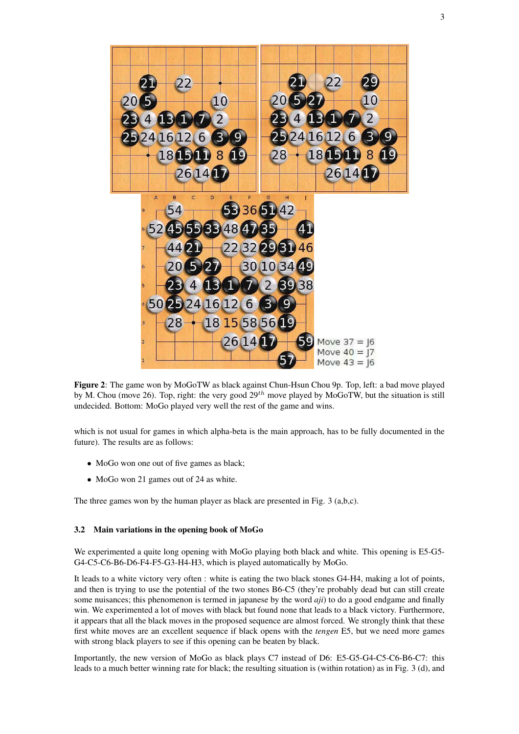

Figure 2: The game won by MoGoTW as black against Chun-Hsun Chou 9p. Top, left: a bad move played by M. Chou (move 26). Top, right: the very good  $29^{th}$  move played by MoGoTW, but the situation is still undecided. Bottom: MoGo played very well the rest of the game and wins.

which is not usual for games in which alpha-beta is the main approach, has to be fully documented in the future). The results are as follows:

- MoGo won one out of five games as black;
- MoGo won 21 games out of 24 as white.

The three games won by the human player as black are presented in Fig. 3 (a,b,c).

#### 3.2 Main variations in the opening book of MoGo

We experimented a quite long opening with MoGo playing both black and white. This opening is E5-G5- G4-C5-C6-B6-D6-F4-F5-G3-H4-H3, which is played automatically by MoGo.

It leads to a white victory very often : white is eating the two black stones G4-H4, making a lot of points, and then is trying to use the potential of the two stones B6-C5 (they're probably dead but can still create some nuisances; this phenomenon is termed in japanese by the word *aji*) to do a good endgame and finally win. We experimented a lot of moves with black but found none that leads to a black victory. Furthermore, it appears that all the black moves in the proposed sequence are almost forced. We strongly think that these first white moves are an excellent sequence if black opens with the *tengen* E5, but we need more games with strong black players to see if this opening can be beaten by black.

Importantly, the new version of MoGo as black plays C7 instead of D6: E5-G5-G4-C5-C6-B6-C7: this leads to a much better winning rate for black; the resulting situation is (within rotation) as in Fig. 3 (d), and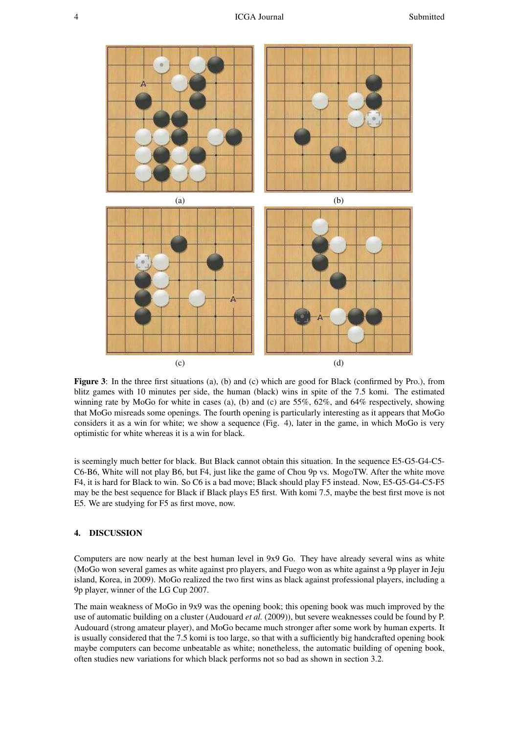

Figure 3: In the three first situations (a), (b) and (c) which are good for Black (confirmed by Pro.), from blitz games with 10 minutes per side, the human (black) wins in spite of the 7.5 komi. The estimated winning rate by MoGo for white in cases (a), (b) and (c) are 55%, 62%, and 64% respectively, showing that MoGo misreads some openings. The fourth opening is particularly interesting as it appears that MoGo considers it as a win for white; we show a sequence (Fig. 4), later in the game, in which MoGo is very optimistic for white whereas it is a win for black.

is seemingly much better for black. But Black cannot obtain this situation. In the sequence E5-G5-G4-C5- C6-B6, White will not play B6, but F4, just like the game of Chou 9p vs. MogoTW. After the white move F4, it is hard for Black to win. So C6 is a bad move; Black should play F5 instead. Now, E5-G5-G4-C5-F5 may be the best sequence for Black if Black plays E5 first. With komi 7.5, maybe the best first move is not E5. We are studying for F5 as first move, now.

#### 4. DISCUSSION

Computers are now nearly at the best human level in 9x9 Go. They have already several wins as white (MoGo won several games as white against pro players, and Fuego won as white against a 9p player in Jeju island, Korea, in 2009). MoGo realized the two first wins as black against professional players, including a 9p player, winner of the LG Cup 2007.

The main weakness of MoGo in 9x9 was the opening book; this opening book was much improved by the use of automatic building on a cluster (Audouard *et al.* (2009)), but severe weaknesses could be found by P. Audouard (strong amateur player), and MoGo became much stronger after some work by human experts. It is usually considered that the 7.5 komi is too large, so that with a sufficiently big handcrafted opening book maybe computers can become unbeatable as white; nonetheless, the automatic building of opening book, often studies new variations for which black performs not so bad as shown in section 3.2.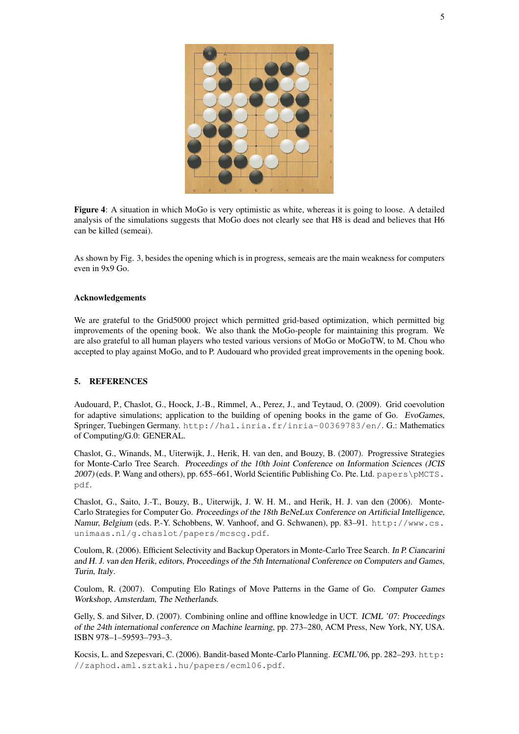

Figure 4: A situation in which MoGo is very optimistic as white, whereas it is going to loose. A detailed analysis of the simulations suggests that MoGo does not clearly see that H8 is dead and believes that H6 can be killed (semeai).

As shown by Fig. 3, besides the opening which is in progress, semeais are the main weakness for computers even in 9x9 Go.

#### Acknowledgements

We are grateful to the Grid5000 project which permitted grid-based optimization, which permitted big improvements of the opening book. We also thank the MoGo-people for maintaining this program. We are also grateful to all human players who tested various versions of MoGo or MoGoTW, to M. Chou who accepted to play against MoGo, and to P. Audouard who provided great improvements in the opening book.

#### 5. REFERENCES

Audouard, P., Chaslot, G., Hoock, J.-B., Rimmel, A., Perez, J., and Teytaud, O. (2009). Grid coevolution for adaptive simulations; application to the building of opening books in the game of Go. *EvoGames*, Springer, Tuebingen Germany. http://hal.inria.fr/inria-00369783/en/. G.: Mathematics of Computing/G.0: GENERAL.

Chaslot, G., Winands, M., Uiterwijk, J., Herik, H. van den, and Bouzy, B. (2007). Progressive Strategies for Monte-Carlo Tree Search. *Proceedings of the 10th Joint Conference on Information Sciences (JCIS* 2007) (eds. P. Wang and others), pp. 655–661, World Scientific Publishing Co. Pte. Ltd. papers\pMCTS. pdf.

Chaslot, G., Saito, J.-T., Bouzy, B., Uiterwijk, J. W. H. M., and Herik, H. J. van den (2006). Monte-Carlo Strategies for Computer Go. *Proceedings of the 18th BeNeLux Conference on Artificial Intelligence, Namur, Belgium* (eds. P.-Y. Schobbens, W. Vanhoof, and G. Schwanen), pp. 83–91. http://www.cs. unimaas.nl/g.chaslot/papers/mcscg.pdf.

Coulom, R. (2006). Efficient Selectivity and Backup Operators in Monte-Carlo Tree Search. *In P. Ciancarini and H. J. van den Herik, editors, Proceedings of the 5th International Conference on Computers and Games, Turin, Italy*.

Coulom, R. (2007). Computing Elo Ratings of Move Patterns in the Game of Go. *Computer Games Workshop, Amsterdam, The Netherlands*.

Gelly, S. and Silver, D. (2007). Combining online and offline knowledge in UCT. *ICML '07: Proceedings of the 24th international conference on Machine learning*, pp. 273–280, ACM Press, New York, NY, USA. ISBN 978–1–59593–793–3.

Kocsis, L. and Szepesvari, C. (2006). Bandit-based Monte-Carlo Planning. *ECML'06*, pp. 282–293. http: //zaphod.aml.sztaki.hu/papers/ecml06.pdf.